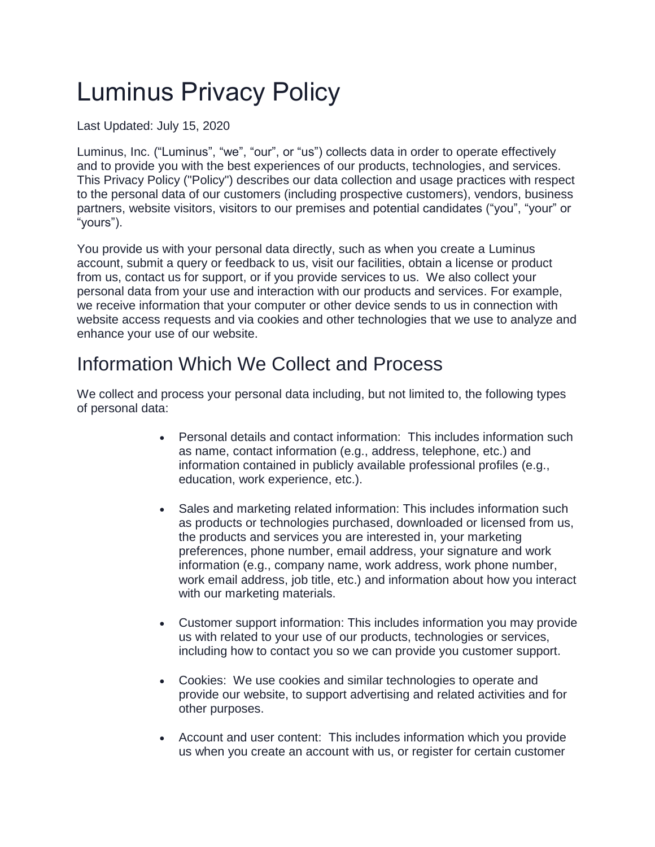# Luminus Privacy Policy

Last Updated: July 15, 2020

Luminus, Inc. ("Luminus", "we", "our", or "us") collects data in order to operate effectively and to provide you with the best experiences of our products, technologies, and services. This Privacy Policy ("Policy") describes our data collection and usage practices with respect to the personal data of our customers (including prospective customers), vendors, business partners, website visitors, visitors to our premises and potential candidates ("you", "your" or "yours").

You provide us with your personal data directly, such as when you create a Luminus account, submit a query or feedback to us, visit our facilities, obtain a license or product from us, contact us for support, or if you provide services to us. We also collect your personal data from your use and interaction with our products and services. For example, we receive information that your computer or other device sends to us in connection with website access requests and via cookies and other technologies that we use to analyze and enhance your use of our website.

#### Information Which We Collect and Process

We collect and process your personal data including, but not limited to, the following types of personal data:

- Personal details and contact information: This includes information such as name, contact information (e.g., address, telephone, etc.) and information contained in publicly available professional profiles (e.g., education, work experience, etc.).
- Sales and marketing related information: This includes information such as products or technologies purchased, downloaded or licensed from us, the products and services you are interested in, your marketing preferences, phone number, email address, your signature and work information (e.g., company name, work address, work phone number, work email address, job title, etc.) and information about how you interact with our marketing materials.
- Customer support information: This includes information you may provide us with related to your use of our products, technologies or services, including how to contact you so we can provide you customer support.
- Cookies: We use cookies and similar technologies to operate and provide our website, to support advertising and related activities and for other purposes.
- Account and user content: This includes information which you provide us when you create an account with us, or register for certain customer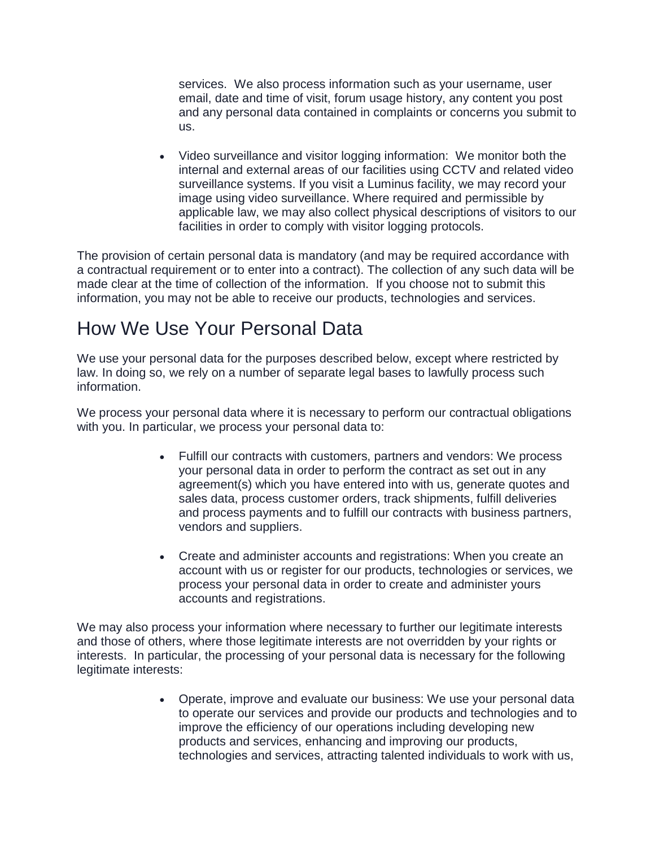services. We also process information such as your username, user email, date and time of visit, forum usage history, any content you post and any personal data contained in complaints or concerns you submit to us.

 Video surveillance and visitor logging information: We monitor both the internal and external areas of our facilities using CCTV and related video surveillance systems. If you visit a Luminus facility, we may record your image using video surveillance. Where required and permissible by applicable law, we may also collect physical descriptions of visitors to our facilities in order to comply with visitor logging protocols.

The provision of certain personal data is mandatory (and may be required accordance with a contractual requirement or to enter into a contract). The collection of any such data will be made clear at the time of collection of the information. If you choose not to submit this information, you may not be able to receive our products, technologies and services.

### How We Use Your Personal Data

We use your personal data for the purposes described below, except where restricted by law. In doing so, we rely on a number of separate legal bases to lawfully process such information.

We process your personal data where it is necessary to perform our contractual obligations with you. In particular, we process your personal data to:

- Fulfill our contracts with customers, partners and vendors: We process your personal data in order to perform the contract as set out in any agreement(s) which you have entered into with us, generate quotes and sales data, process customer orders, track shipments, fulfill deliveries and process payments and to fulfill our contracts with business partners, vendors and suppliers.
- Create and administer accounts and registrations: When you create an account with us or register for our products, technologies or services, we process your personal data in order to create and administer yours accounts and registrations.

We may also process your information where necessary to further our legitimate interests and those of others, where those legitimate interests are not overridden by your rights or interests. In particular, the processing of your personal data is necessary for the following legitimate interests:

> Operate, improve and evaluate our business: We use your personal data to operate our services and provide our products and technologies and to improve the efficiency of our operations including developing new products and services, enhancing and improving our products, technologies and services, attracting talented individuals to work with us,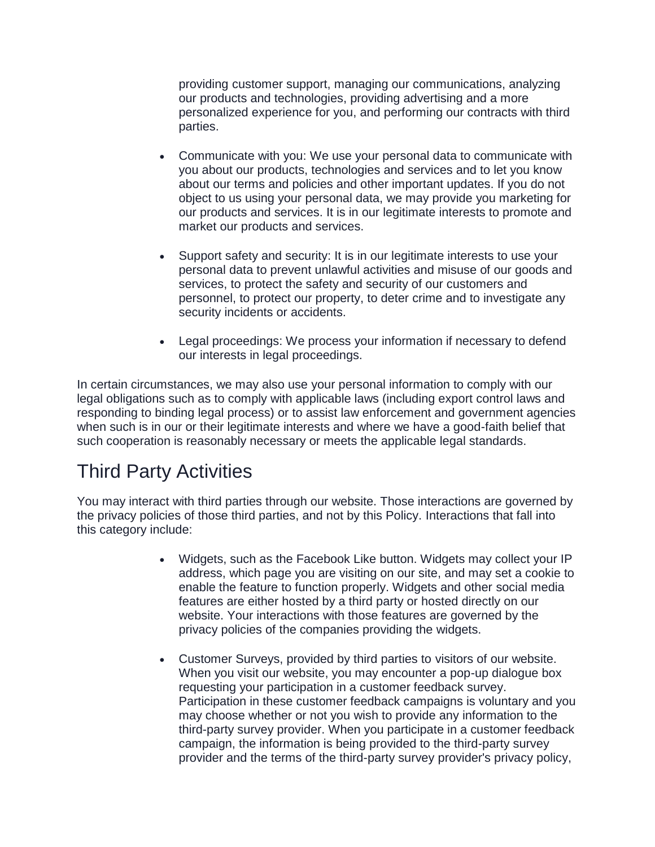providing customer support, managing our communications, analyzing our products and technologies, providing advertising and a more personalized experience for you, and performing our contracts with third parties.

- Communicate with you: We use your personal data to communicate with you about our products, technologies and services and to let you know about our terms and policies and other important updates. If you do not object to us using your personal data, we may provide you marketing for our products and services. It is in our legitimate interests to promote and market our products and services.
- Support safety and security: It is in our legitimate interests to use your personal data to prevent unlawful activities and misuse of our goods and services, to protect the safety and security of our customers and personnel, to protect our property, to deter crime and to investigate any security incidents or accidents.
- Legal proceedings: We process your information if necessary to defend our interests in legal proceedings.

In certain circumstances, we may also use your personal information to comply with our legal obligations such as to comply with applicable laws (including export control laws and responding to binding legal process) or to assist law enforcement and government agencies when such is in our or their legitimate interests and where we have a good-faith belief that such cooperation is reasonably necessary or meets the applicable legal standards.

### Third Party Activities

You may interact with third parties through our website. Those interactions are governed by the privacy policies of those third parties, and not by this Policy. Interactions that fall into this category include:

- Widgets, such as the Facebook Like button. Widgets may collect your IP address, which page you are visiting on our site, and may set a cookie to enable the feature to function properly. Widgets and other social media features are either hosted by a third party or hosted directly on our website. Your interactions with those features are governed by the privacy policies of the companies providing the widgets.
- Customer Surveys, provided by third parties to visitors of our website. When you visit our website, you may encounter a pop-up dialogue box requesting your participation in a customer feedback survey. Participation in these customer feedback campaigns is voluntary and you may choose whether or not you wish to provide any information to the third-party survey provider. When you participate in a customer feedback campaign, the information is being provided to the third-party survey provider and the terms of the third-party survey provider's privacy policy,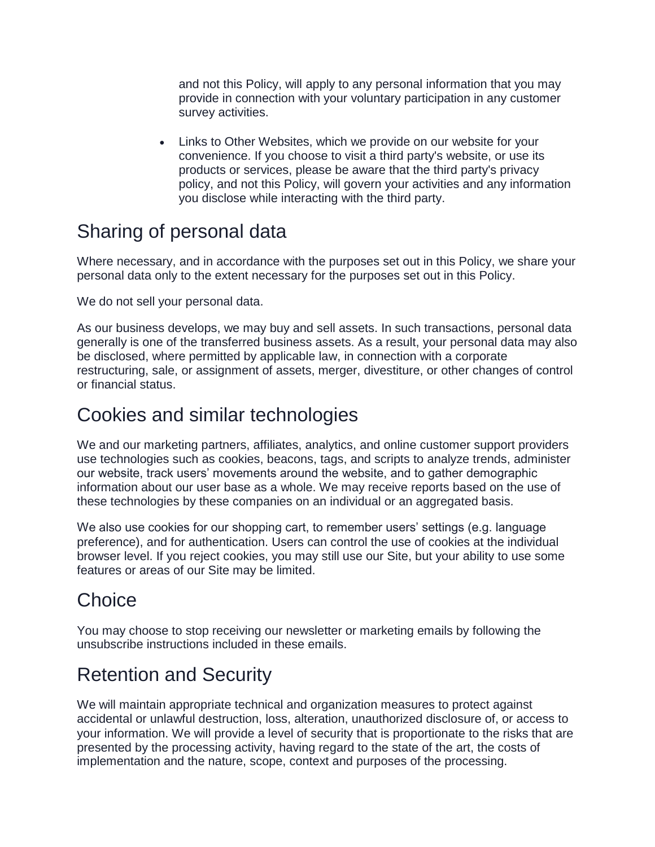and not this Policy, will apply to any personal information that you may provide in connection with your voluntary participation in any customer survey activities.

 Links to Other Websites, which we provide on our website for your convenience. If you choose to visit a third party's website, or use its products or services, please be aware that the third party's privacy policy, and not this Policy, will govern your activities and any information you disclose while interacting with the third party.

## Sharing of personal data

Where necessary, and in accordance with the purposes set out in this Policy, we share your personal data only to the extent necessary for the purposes set out in this Policy.

We do not sell your personal data.

As our business develops, we may buy and sell assets. In such transactions, personal data generally is one of the transferred business assets. As a result, your personal data may also be disclosed, where permitted by applicable law, in connection with a corporate restructuring, sale, or assignment of assets, merger, divestiture, or other changes of control or financial status.

### Cookies and similar technologies

We and our marketing partners, affiliates, analytics, and online customer support providers use technologies such as cookies, beacons, tags, and scripts to analyze trends, administer our website, track users' movements around the website, and to gather demographic information about our user base as a whole. We may receive reports based on the use of these technologies by these companies on an individual or an aggregated basis.

We also use cookies for our shopping cart, to remember users' settings (e.g. language preference), and for authentication. Users can control the use of cookies at the individual browser level. If you reject cookies, you may still use our Site, but your ability to use some features or areas of our Site may be limited.

## **Choice**

You may choose to stop receiving our newsletter or marketing emails by following the unsubscribe instructions included in these emails.

## Retention and Security

We will maintain appropriate technical and organization measures to protect against accidental or unlawful destruction, loss, alteration, unauthorized disclosure of, or access to your information. We will provide a level of security that is proportionate to the risks that are presented by the processing activity, having regard to the state of the art, the costs of implementation and the nature, scope, context and purposes of the processing.